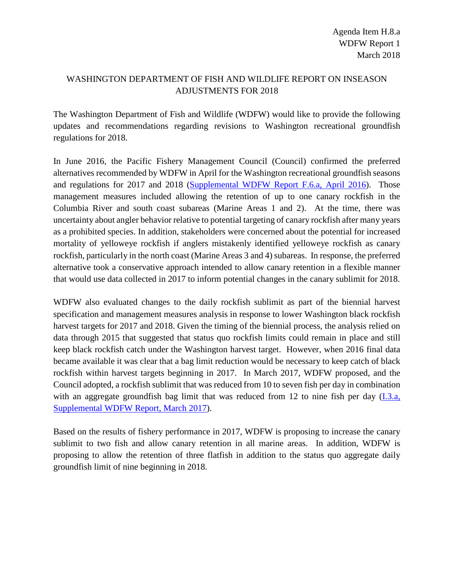## WASHINGTON DEPARTMENT OF FISH AND WILDLIFE REPORT ON INSEASON ADJUSTMENTS FOR 2018

The Washington Department of Fish and Wildlife (WDFW) would like to provide the following updates and recommendations regarding revisions to Washington recreational groundfish regulations for 2018.

In June 2016, the Pacific Fishery Management Council (Council) confirmed the preferred alternatives recommended by WDFW in April for the Washington recreational groundfish seasons and regulations for 2017 and 2018 [\(Supplemental WDFW Report F.6.a, April 2016\)](http://www.pcouncil.org/wp-content/uploads/2016/04/F6a_Sup_WDFW_Rpt_APR2016BB.pdf). Those management measures included allowing the retention of up to one canary rockfish in the Columbia River and south coast subareas (Marine Areas 1 and 2). At the time, there was uncertainty about angler behavior relative to potential targeting of canary rockfish after many years as a prohibited species. In addition, stakeholders were concerned about the potential for increased mortality of yelloweye rockfish if anglers mistakenly identified yelloweye rockfish as canary rockfish, particularly in the north coast (Marine Areas 3 and 4) subareas. In response, the preferred alternative took a conservative approach intended to allow canary retention in a flexible manner that would use data collected in 2017 to inform potential changes in the canary sublimit for 2018.

WDFW also evaluated changes to the daily rockfish sublimit as part of the biennial harvest specification and management measures analysis in response to lower Washington black rockfish harvest targets for 2017 and 2018. Given the timing of the biennial process, the analysis relied on data through 2015 that suggested that status quo rockfish limits could remain in place and still keep black rockfish catch under the Washington harvest target. However, when 2016 final data became available it was clear that a bag limit reduction would be necessary to keep catch of black rockfish within harvest targets beginning in 2017. In March 2017, WDFW proposed, and the Council adopted, a rockfish sublimit that was reduced from 10 to seven fish per day in combination with an aggregate groundfish bag limit that was reduced from 12 to nine fish per day  $(I.3.a, I.3.a)$  $(I.3.a, I.3.a)$ [Supplemental WDFW Report, March 2017\)](http://www.pcouncil.org/wp-content/uploads/2017/03/I3a_Sup_WDFW_Rpt_inseason2017_Mar2017BB.pdf).

Based on the results of fishery performance in 2017, WDFW is proposing to increase the canary sublimit to two fish and allow canary retention in all marine areas. In addition, WDFW is proposing to allow the retention of three flatfish in addition to the status quo aggregate daily groundfish limit of nine beginning in 2018.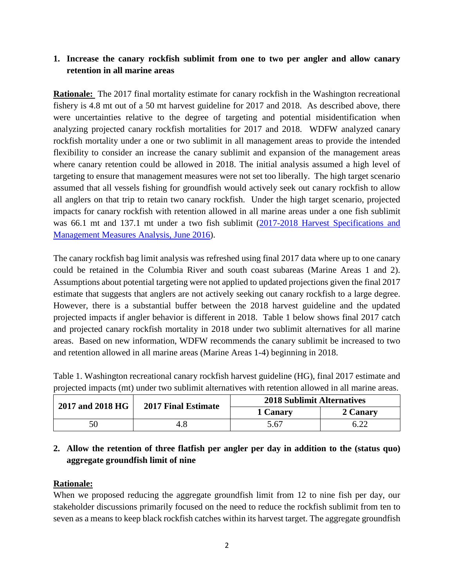## **1. Increase the canary rockfish sublimit from one to two per angler and allow canary retention in all marine areas**

**Rationale:** The 2017 final mortality estimate for canary rockfish in the Washington recreational fishery is 4.8 mt out of a 50 mt harvest guideline for 2017 and 2018. As described above, there were uncertainties relative to the degree of targeting and potential misidentification when analyzing projected canary rockfish mortalities for 2017 and 2018. WDFW analyzed canary rockfish mortality under a one or two sublimit in all management areas to provide the intended flexibility to consider an increase the canary sublimit and expansion of the management areas where canary retention could be allowed in 2018. The initial analysis assumed a high level of targeting to ensure that management measures were not set too liberally. The high target scenario assumed that all vessels fishing for groundfish would actively seek out canary rockfish to allow all anglers on that trip to retain two canary rockfish. Under the high target scenario, projected impacts for canary rockfish with retention allowed in all marine areas under a one fish sublimit was 66.1 mt and 137.1 mt under a two fish sublimit [\(2017-2018 Harvest Specifications and](http://www.pcouncil.org/wp-content/uploads/2016/06/G4_Att2_Analysis_Doc_JUN2016BB.pdf)  [Management Measures Analysis, June 2016\)](http://www.pcouncil.org/wp-content/uploads/2016/06/G4_Att2_Analysis_Doc_JUN2016BB.pdf).

The canary rockfish bag limit analysis was refreshed using final 2017 data where up to one canary could be retained in the Columbia River and south coast subareas (Marine Areas 1 and 2). Assumptions about potential targeting were not applied to updated projections given the final 2017 estimate that suggests that anglers are not actively seeking out canary rockfish to a large degree. However, there is a substantial buffer between the 2018 harvest guideline and the updated projected impacts if angler behavior is different in 2018. Table 1 below shows final 2017 catch and projected canary rockfish mortality in 2018 under two sublimit alternatives for all marine areas. Based on new information, WDFW recommends the canary sublimit be increased to two and retention allowed in all marine areas (Marine Areas 1-4) beginning in 2018.

|                                                                                                    | Table 1. Washington recreational canary rockfish harvest guideline (HG), final 2017 estimate and |
|----------------------------------------------------------------------------------------------------|--------------------------------------------------------------------------------------------------|
| projected impacts (mt) under two sublimit alternatives with retention allowed in all marine areas. |                                                                                                  |

| 2017 and 2018 HG | <b>2017 Final Estimate</b> | <b>2018 Sublimit Alternatives</b> |          |  |  |  |
|------------------|----------------------------|-----------------------------------|----------|--|--|--|
|                  |                            | 1 Canary                          | 2 Canary |  |  |  |
| 50               |                            | 5.67                              |          |  |  |  |

## **2. Allow the retention of three flatfish per angler per day in addition to the (status quo) aggregate groundfish limit of nine**

## **Rationale:**

When we proposed reducing the aggregate groundfish limit from 12 to nine fish per day, our stakeholder discussions primarily focused on the need to reduce the rockfish sublimit from ten to seven as a means to keep black rockfish catches within its harvest target. The aggregate groundfish